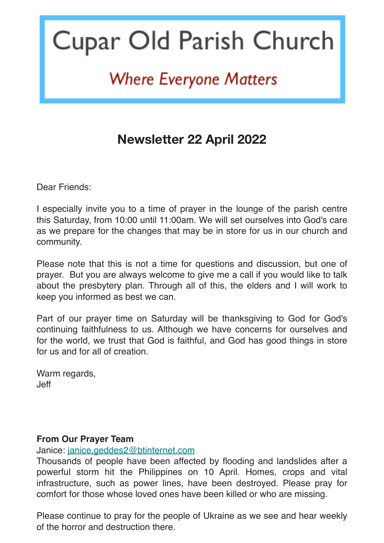# Cupar Old Parish Church

## **Where Everyone Matters**

### **Newsletter 22 April 2022**

Dear Friends:

I especially invite you to a time of prayer in the lounge of the parish centre this Saturday, from 10:00 until 11:00am. We will set ourselves into God's care as we prepare for the changes that may be in store for us in our church and community.

Please note that this is not a time for questions and discussion, but one of prayer. But you are always welcome to give me a call if you would like to talk about the presbytery plan. Through all of this, the elders and I will work to keep you informed as best we can.

Part of our prayer time on Saturday will be thanksgiving to God for God's continuing faithfulness to us. Although we have concerns for ourselves and for the world, we trust that God is faithful, and God has good things in store for us and for all of creation.

Warm regards, Jeff

#### **From Our Prayer Team**

#### Janice: [janice.geddes2@btinternet.com](mailto:janice.geddes2@btinternet.com)

Thousands of people have been affected by flooding and landslides after a powerful storm hit the Philippines on 10 April. Homes, crops and vital infrastructure, such as power lines, have been destroyed. Please pray for comfort for those whose loved ones have been killed or who are missing.

Please continue to pray for the people of Ukraine as we see and hear weekly of the horror and destruction there.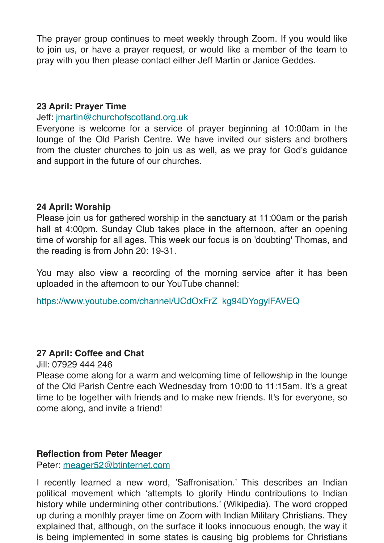The prayer group continues to meet weekly through Zoom. If you would like to join us, or have a prayer request, or would like a member of the team to pray with you then please contact either Jeff Martin or Janice Geddes.

#### **23 April: Prayer Time**

#### Jeff: [jmartin@churchofscotland.org.uk](mailto:jmartin@churchofscotland.org.uk)

Everyone is welcome for a service of prayer beginning at 10:00am in the lounge of the Old Parish Centre. We have invited our sisters and brothers from the cluster churches to join us as well, as we pray for God's guidance and support in the future of our churches.

#### **24 April: Worship**

Please join us for gathered worship in the sanctuary at 11:00am or the parish hall at 4:00pm. Sunday Club takes place in the afternoon, after an opening time of worship for all ages. This week our focus is on 'doubting' Thomas, and the reading is from John 20: 19-31.

You may also view a recording of the morning service after it has been uploaded in the afternoon to our YouTube channel:

[https://www.youtube.com/channel/UCdOxFrZ\\_kg94DYogylFAVEQ](https://www.youtube.com/channel/UCdOxFrZ_kg94DYogylFAVEQ)

#### **27 April: Coffee and Chat**

Jill: 07929 444 246

Please come along for a warm and welcoming time of fellowship in the lounge of the Old Parish Centre each Wednesday from 10:00 to 11:15am. It's a great time to be together with friends and to make new friends. It's for everyone, so come along, and invite a friend!

#### **Reflection from Peter Meager**

Peter: [meager52@btinternet.com](mailto:meager52@btinternet.com)

I recently learned a new word, 'Saffronisation.' This describes an Indian political movement which 'attempts to glorify Hindu contributions to Indian history while undermining other contributions.' (Wikipedia). The word cropped up during a monthly prayer time on Zoom with Indian Military Christians. They explained that, although, on the surface it looks innocuous enough, the way it is being implemented in some states is causing big problems for Christians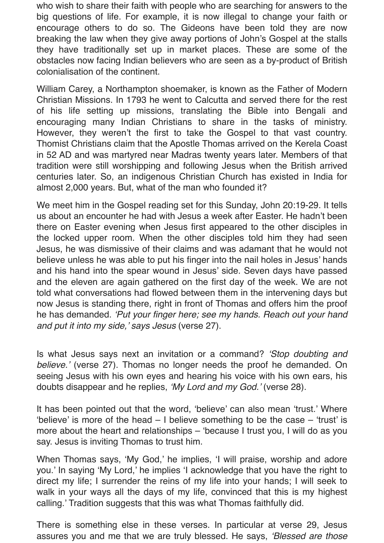who wish to share their faith with people who are searching for answers to the big questions of life. For example, it is now illegal to change your faith or encourage others to do so. The Gideons have been told they are now breaking the law when they give away portions of John's Gospel at the stalls they have traditionally set up in market places. These are some of the obstacles now facing Indian believers who are seen as a by-product of British colonialisation of the continent.

William Carey, a Northampton shoemaker, is known as the Father of Modern Christian Missions. In 1793 he went to Calcutta and served there for the rest of his life setting up missions, translating the Bible into Bengali and encouraging many Indian Christians to share in the tasks of ministry. However, they weren't the first to take the Gospel to that vast country. Thomist Christians claim that the Apostle Thomas arrived on the Kerela Coast in 52 AD and was martyred near Madras twenty years later. Members of that tradition were still worshipping and following Jesus when the British arrived centuries later. So, an indigenous Christian Church has existed in India for almost 2,000 years. But, what of the man who founded it?

We meet him in the Gospel reading set for this Sunday, John 20:19-29. It tells us about an encounter he had with Jesus a week after Easter. He hadn't been there on Easter evening when Jesus first appeared to the other disciples in the locked upper room. When the other disciples told him they had seen Jesus, he was dismissive of their claims and was adamant that he would not believe unless he was able to put his finger into the nail holes in Jesus' hands and his hand into the spear wound in Jesus' side. Seven days have passed and the eleven are again gathered on the first day of the week. We are not told what conversations had flowed between them in the intervening days but now Jesus is standing there, right in front of Thomas and offers him the proof he has demanded. *'Put your finger here; see my hands. Reach out your hand and put it into my side,' says Jesus* (verse 27).

Is what Jesus says next an invitation or a command? *'Stop doubting and believe.'* (verse 27). Thomas no longer needs the proof he demanded. On seeing Jesus with his own eyes and hearing his voice with his own ears, his doubts disappear and he replies, *'My Lord and my God.'* (verse 28).

It has been pointed out that the word, 'believe' can also mean 'trust.' Where 'believe' is more of the head – I believe something to be the case – 'trust' is more about the heart and relationships – 'because I trust you, I will do as you say. Jesus is inviting Thomas to trust him.

When Thomas says, 'My God,' he implies, 'I will praise, worship and adore you.' In saying 'My Lord,' he implies 'I acknowledge that you have the right to direct my life; I surrender the reins of my life into your hands; I will seek to walk in your ways all the days of my life, convinced that this is my highest calling.' Tradition suggests that this was what Thomas faithfully did.

There is something else in these verses. In particular at verse 29, Jesus assures you and me that we are truly blessed. He says, *'Blessed are those*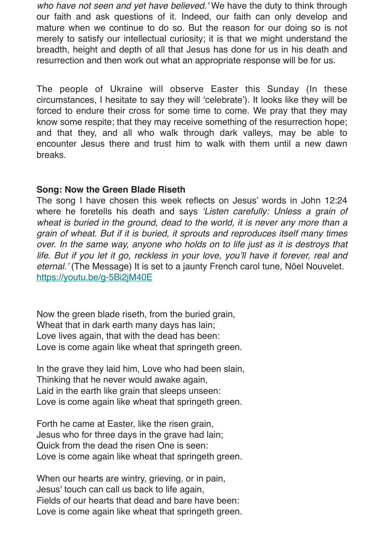*who have not seen and yet have believed.'* We have the duty to think through our faith and ask questions of it. Indeed, our faith can only develop and mature when we continue to do so. But the reason for our doing so is not merely to satisfy our intellectual curiosity; it is that we might understand the breadth, height and depth of all that Jesus has done for us in his death and resurrection and then work out what an appropriate response will be for us.

The people of Ukraine will observe Easter this Sunday (In these circumstances, I hesitate to say they will 'celebrate'). It looks like they will be forced to endure their cross for some time to come. We pray that they may know some respite; that they may receive something of the resurrection hope; and that they, and all who walk through dark valleys, may be able to encounter Jesus there and trust him to walk with them until a new dawn breaks.

#### **Song: Now the Green Blade Riseth**

The song I have chosen this week reflects on Jesus' words in John 12:24 where he foretells his death and says *'Listen carefully: Unless a grain of*  wheat is buried in the ground, dead to the world, it is never any more than a *grain of wheat. But if it is buried, it sprouts and reproduces itself many times over. In the same way, anyone who holds on to life just as it is destroys that*  life. But if you let it go, reckless in your love, you'll have it forever, real and *eternal.'* (The Message) It is set to a jaunty French carol tune, Nöel Nouvelet. <https://youtu.be/g-5Bi2jM40E>

Now the green blade riseth, from the buried grain, Wheat that in dark earth many days has lain; Love lives again, that with the dead has been: Love is come again like wheat that springeth green.

In the grave they laid him, Love who had been slain, Thinking that he never would awake again, Laid in the earth like grain that sleeps unseen: Love is come again like wheat that springeth green.

Forth he came at Easter, like the risen grain, Jesus who for three days in the grave had lain; Quick from the dead the risen One is seen: Love is come again like wheat that springeth green.

When our hearts are wintry, grieving, or in pain, Jesus' touch can call us back to life again, Fields of our hearts that dead and bare have been: Love is come again like wheat that springeth green.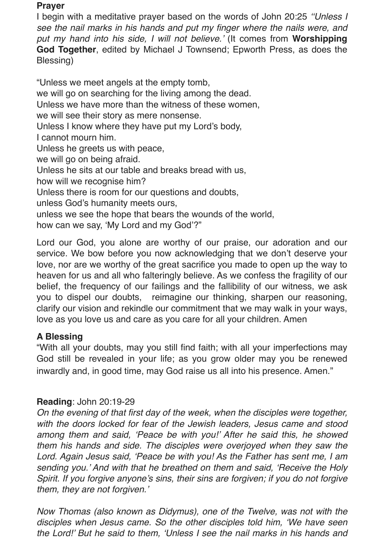#### **Prayer**

I begin with a meditative prayer based on the words of John 20:25 *''Unless I see the nail marks in his hands and put my finger where the nails were, and put my hand into his side, I will not believe.'* (It comes from **Worshipping God Together**, edited by Michael J Townsend; Epworth Press, as does the Blessing)

"Unless we meet angels at the empty tomb, we will go on searching for the living among the dead. Unless we have more than the witness of these women, we will see their story as mere nonsense. Unless I know where they have put my Lord's body, I cannot mourn him. Unless he greets us with peace, we will go on being afraid. Unless he sits at our table and breaks bread with us, how will we recognise him? Unless there is room for our questions and doubts, unless God's humanity meets ours, unless we see the hope that bears the wounds of the world, how can we say, 'My Lord and my God'?"

Lord our God, you alone are worthy of our praise, our adoration and our service. We bow before you now acknowledging that we don't deserve your love, nor are we worthy of the great sacrifice you made to open up the way to heaven for us and all who falteringly believe. As we confess the fragility of our belief, the frequency of our failings and the fallibility of our witness, we ask you to dispel our doubts, reimagine our thinking, sharpen our reasoning, clarify our vision and rekindle our commitment that we may walk in your ways, love as you love us and care as you care for all your children. Amen

#### **A Blessing**

"With all your doubts, may you still find faith; with all your imperfections may God still be revealed in your life; as you grow older may you be renewed inwardly and, in good time, may God raise us all into his presence. Amen."

#### **Reading**: John 20:19-29

*On the evening of that first day of the week, when the disciples were together, with the doors locked for fear of the Jewish leaders, Jesus came and stood among them and said, 'Peace be with you!' After he said this, he showed them his hands and side. The disciples were overjoyed when they saw the Lord. Again Jesus said, 'Peace be with you! As the Father has sent me, I am sending you.' And with that he breathed on them and said, 'Receive the Holy Spirit. If you forgive anyone's sins, their sins are forgiven; if you do not forgive them, they are not forgiven.'*

*Now Thomas (also known as Didymus), one of the Twelve, was not with the disciples when Jesus came. So the other disciples told him, 'We have seen the Lord!' But he said to them, 'Unless I see the nail marks in his hands and*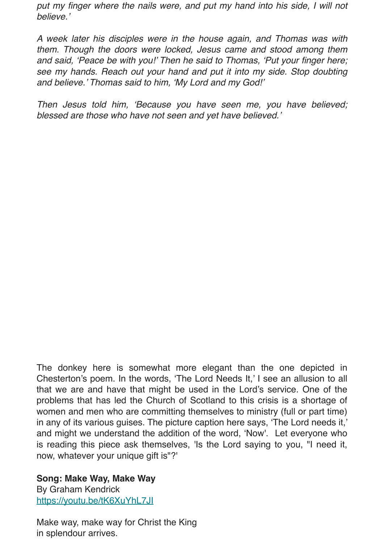put my finger where the nails were, and put my hand into his side, I will not *believe.'*

*A week later his disciples were in the house again, and Thomas was with them. Though the doors were locked, Jesus came and stood among them and said, 'Peace be with you!' Then he said to Thomas, 'Put your finger here; see my hands. Reach out your hand and put it into my side. Stop doubting and believe.' Thomas said to him, 'My Lord and my God!'*

*Then Jesus told him, 'Because you have seen me, you have believed; blessed are those who have not seen and yet have believed.'*

The donkey here is somewhat more elegant than the one depicted in Chesterton's poem. In the words, 'The Lord Needs It,' I see an allusion to all that we are and have that might be used in the Lord's service. One of the problems that has led the Church of Scotland to this crisis is a shortage of women and men who are committing themselves to ministry (full or part time) in any of its various guises. The picture caption here says, 'The Lord needs it,' and might we understand the addition of the word, 'Now'. Let everyone who is reading this piece ask themselves, 'Is the Lord saying to you, "I need it, now, whatever your unique gift is"?'

**Song: Make Way, Make Way** By Graham Kendrick <https://youtu.be/tK6XuYhL7JI>

Make way, make way for Christ the King in splendour arrives.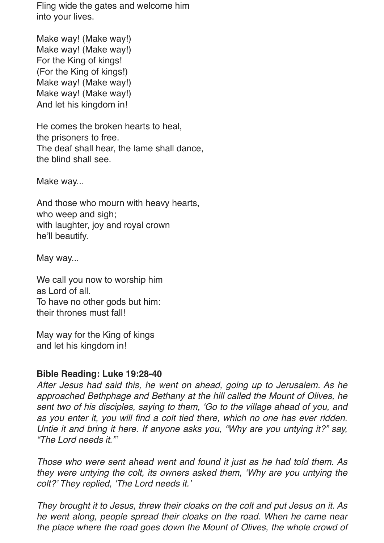Fling wide the gates and welcome him into your lives.

Make way! (Make way!) Make way! (Make way!) For the King of kings! (For the King of kings!) Make way! (Make way!) Make way! (Make way!) And let his kingdom in!

He comes the broken hearts to heal, the prisoners to free. The deaf shall hear, the lame shall dance, the blind shall see.

Make way...

And those who mourn with heavy hearts, who weep and sigh; with laughter, joy and royal crown he'll beautify.

May way...

We call you now to worship him as Lord of all. To have no other gods but him: their thrones must fall!

May way for the King of kings and let his kingdom in!

#### **Bible Reading: Luke 19:28-40**

*After Jesus had said this, he went on ahead, going up to Jerusalem. As he approached Bethphage and Bethany at the hill called the Mount of Olives, he sent two of his disciples, saying to them, 'Go to the village ahead of you, and as you enter it, you will find a colt tied there, which no one has ever ridden. Untie it and bring it here. If anyone asks you, "Why are you untying it?" say, "The Lord needs it."'*

*Those who were sent ahead went and found it just as he had told them. As they were untying the colt, its owners asked them, 'Why are you untying the colt?' They replied, 'The Lord needs it.'*

*They brought it to Jesus, threw their cloaks on the colt and put Jesus on it. As he went along, people spread their cloaks on the road. When he came near the place where the road goes down the Mount of Olives, the whole crowd of*